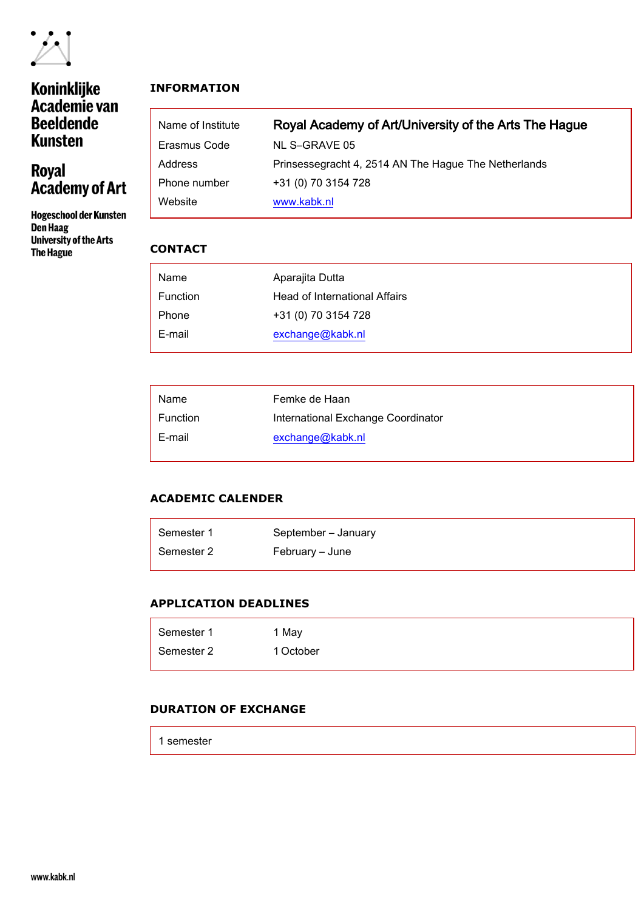

# Koninklijke<br>Academie van **Beeldende Kunsten**

# Royal<br>Academy of Art

**Hogeschool der Kunsten** Den Haag **University of the Arts** The Hague

# **INFORMATION**

| Name of Institute | Royal Academy of Art/University of the Arts The Hague |
|-------------------|-------------------------------------------------------|
| Erasmus Code      | NL S-GRAVE 05                                         |
| Address           | Prinsessegracht 4, 2514 AN The Hague The Netherlands  |
| Phone number      | +31 (0) 70 3154 728                                   |
| Website           | www.kabk.nl                                           |

# **CONTACT**

| Name     | Aparajita Dutta               |
|----------|-------------------------------|
| Function | Head of International Affairs |
| Phone    | +31 (0) 70 3154 728           |
| E-mail   | exchange@kabk.nl              |

| Name            | Femke de Haan                      |
|-----------------|------------------------------------|
| <b>Function</b> | International Exchange Coordinator |
| E-mail          | exchange@kabk.nl                   |

# **ACADEMIC CALENDER**

| Semester 1 | September - January |
|------------|---------------------|
| Semester 2 | February – June     |

## **APPLICATION DEADLINES**

| Semester 1 | 1 May     |
|------------|-----------|
| Semester 2 | 1 October |

## **DURATION OF EXCHANGE**

1 semester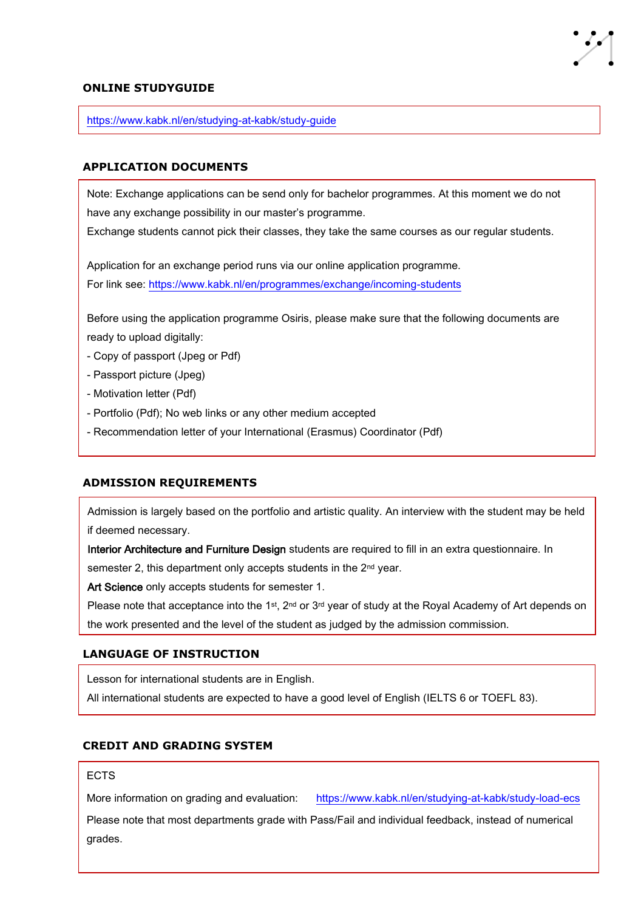#### **ONLINE STUDYGUIDE**

<https://www.kabk.nl/en/studying-at-kabk/study-guide>

#### **APPLICATION DOCUMENTS**

Note: Exchange applications can be send only for bachelor programmes. At this moment we do not have any exchange possibility in our master's programme.

Exchange students cannot pick their classes, they take the same courses as our regular students.

Application for an exchange period runs via our online application programme. For link see:<https://www.kabk.nl/en/programmes/exchange/incoming-students>

Before using the application programme Osiris, please make sure that the following documents are ready to upload digitally:

- Copy of passport (Jpeg or Pdf)
- Passport picture (Jpeg)
- Motivation letter (Pdf)
- Portfolio (Pdf); No web links or any other medium accepted
- Recommendation letter of your International (Erasmus) Coordinator (Pdf)

#### **ADMISSION REQUIREMENTS**

Admission is largely based on the portfolio and artistic quality. An interview with the student may be held if deemed necessary.

Interior Architecture and Furniture Design students are required to fill in an extra questionnaire. In

semester 2, this department only accepts students in the 2<sup>nd</sup> year.

Art Science only accepts students for semester 1.

Please note that acceptance into the 1<sup>st</sup>, 2<sup>nd</sup> or 3<sup>rd</sup> year of study at the Royal Academy of Art depends on the work presented and the level of the student as judged by the admission commission.

#### **LANGUAGE OF INSTRUCTION**

Lesson for international students are in English.

All international students are expected to have a good level of English (IELTS 6 or TOEFL 83).

## **CREDIT AND GRADING SYSTEM**

#### ECTS

More information on grading and evaluation: <https://www.kabk.nl/en/studying-at-kabk/study-load-ecs>

Please note that most departments grade with Pass/Fail and individual feedback, instead of numerical grades.